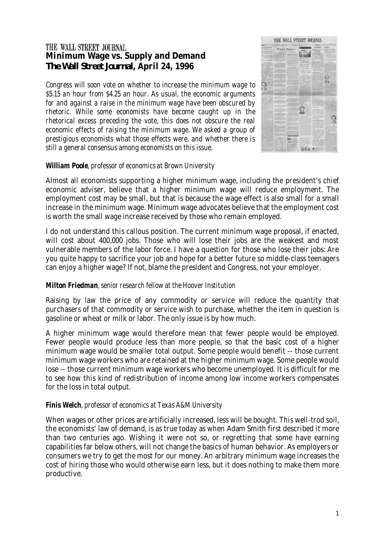# THE WALL STREET JOURNAL **Minimum Wage vs. Supply and Demand**  *The Wall Street Journal***, April 24, 1996**

*Congress will soon vote on whether to increase the minimum wage to \$5.15 an hour from \$4.25 an hour. As usual, the economic arguments for and against a raise in the minimum wage have been obscured by rhetoric. While some economists have become caught up in the rhetorical excess preceding the vote, this does not obscure the real economic effects of raising the minimum wage. We asked a group of prestigious economists what those effects were, and whether there is still a general consensus among economists on this issue.* 



## *William Poole, professor of economics at Brown University*

Almost all economists supporting a higher minimum wage, including the president's chief economic adviser, believe that a higher minimum wage will reduce employment. The employment cost may be small, but that is because the wage effect is also small for a small increase in the minimum wage. Minimum wage advocates believe that the employment cost is worth the small wage increase received by those who remain employed.

I do not understand this callous position. The current minimum wage proposal, if enacted, will cost about 400,000 jobs. Those who will lose their jobs are the weakest and most vulnerable members of the labor force. I have a question for those who lose their jobs: Are you quite happy to sacrifice your job and hope for a better future so middle-class teenagers can enjoy a higher wage? If not, blame the president and Congress, not your employer.

# *Milton Friedman, senior research fellow at the Hoover Institution*

Raising by law the price of any commodity or service will reduce the quantity that purchasers of that commodity or service wish to purchase, whether the item in question is gasoline or wheat or milk or labor. The only issue is by how much.

A higher minimum wage would therefore mean that fewer people would be employed. Fewer people would produce less than more people, so that the basic cost of a higher minimum wage would be smaller total output. Some people would benefit -- those current minimum wage workers who are retained at the higher minimum wage. Some people would lose -- those current minimum wage workers who become unemployed. It is difficult for me to see how this kind of redistribution of income among low income workers compensates for the loss in total output.

# *Finis Welch, professor of economics at Texas A&M University*

When wages or other prices are artificially increased, less will be bought. This well-trod soil, the economists' law of demand, is as true today as when Adam Smith first described it more than two centuries ago. Wishing it were not so, or regretting that some have earning capabilities far below others, will not change the basics of human behavior. As employers or consumers we try to get the most for our money. An arbitrary minimum wage increases the cost of hiring those who would otherwise earn less, but it does nothing to make them more productive.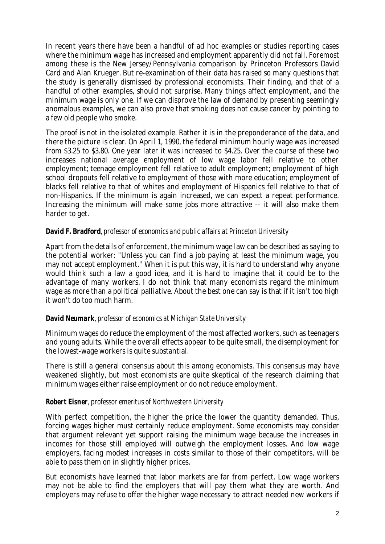In recent years there have been a handful of ad hoc examples or studies reporting cases where the minimum wage has increased and employment apparently did not fall. Foremost among these is the New Jersey/Pennsylvania comparison by Princeton Professors David Card and Alan Krueger. But re-examination of their data has raised so many questions that the study is generally dismissed by professional economists. Their finding, and that of a handful of other examples, should not surprise. Many things affect employment, and the minimum wage is only one. If we can disprove the law of demand by presenting seemingly anomalous examples, we can also prove that smoking does not cause cancer by pointing to a few old people who smoke.

The proof is not in the isolated example. Rather it is in the preponderance of the data, and there the picture is clear. On April 1, 1990, the federal minimum hourly wage was increased from \$3.25 to \$3.80. One year later it was increased to \$4.25. Over the course of these two increases national average employment of low wage labor fell relative to other employment; teenage employment fell relative to adult employment; employment of high school dropouts fell relative to employment of those with more education; employment of blacks fell relative to that of whites and employment of Hispanics fell relative to that of non-Hispanics. If the minimum is again increased, we can expect a repeat performance. Increasing the minimum will make some jobs more attractive -- it will also make them harder to get.

#### *David F. Bradford, professor of economics and public affairs at Princeton University*

Apart from the details of enforcement, the minimum wage law can be described as saying to the potential worker: "Unless you can find a job paying at least the minimum wage, you may not accept employment." When it is put this way, it is hard to understand why anyone would think such a law a good idea, and it is hard to imagine that it could be to the advantage of many workers. I do not think that many economists regard the minimum wage as more than a political palliative. About the best one can say is that if it isn't too high it won't do too much harm.

#### *David Neumark, professor of economics at Michigan State University*

Minimum wages do reduce the employment of the most affected workers, such as teenagers and young adults. While the overall effects appear to be quite small, the disemployment for the lowest-wage workers is quite substantial.

There is still a general consensus about this among economists. This consensus may have weakened slightly, but most economists are quite skeptical of the research claiming that minimum wages either raise employment or do not reduce employment.

#### *Robert Eisner, professor emeritus of Northwestern University*

With perfect competition, the higher the price the lower the quantity demanded. Thus, forcing wages higher must certainly reduce employment. Some economists may consider that argument relevant yet support raising the minimum wage because the increases in incomes for those still employed will outweigh the employment losses. And low wage employers, facing modest increases in costs similar to those of their competitors, will be able to pass them on in slightly higher prices.

But economists have learned that labor markets are far from perfect. Low wage workers may not be able to find the employers that will pay them what they are worth. And employers may refuse to offer the higher wage necessary to attract needed new workers if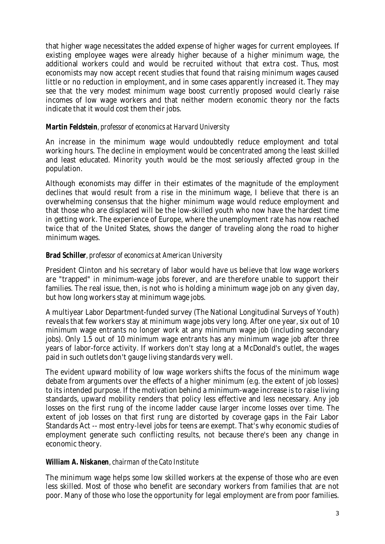that higher wage necessitates the added expense of higher wages for current employees. If existing employee wages were already higher because of a higher minimum wage, the additional workers could and would be recruited without that extra cost. Thus, most economists may now accept recent studies that found that raising minimum wages caused little or no reduction in employment, and in some cases apparently increased it. They may see that the very modest minimum wage boost currently proposed would clearly raise incomes of low wage workers and that neither modern economic theory nor the facts indicate that it would cost them their jobs.

### *Martin Feldstein, professor of economics at Harvard University*

An increase in the minimum wage would undoubtedly reduce employment and total working hours. The decline in employment would be concentrated among the least skilled and least educated. Minority youth would be the most seriously affected group in the population.

Although economists may differ in their estimates of the magnitude of the employment declines that would result from a rise in the minimum wage, I believe that there is an overwhelming consensus that the higher minimum wage would reduce employment and that those who are displaced will be the low-skilled youth who now have the hardest time in getting work. The experience of Europe, where the unemployment rate has now reached twice that of the United States, shows the danger of traveling along the road to higher minimum wages.

## *Brad Schiller, professor of economics at American University*

President Clinton and his secretary of labor would have us believe that low wage workers are "trapped" in minimum-wage jobs forever, and are therefore unable to support their families. The real issue, then, is not who is holding a minimum wage job on any given day, but how long workers stay at minimum wage jobs.

A multiyear Labor Department-funded survey (The National Longitudinal Surveys of Youth) reveals that few workers stay at minimum wage jobs very long. After one year, six out of 10 minimum wage entrants no longer work at any minimum wage job (including secondary jobs). Only 1.5 out of 10 minimum wage entrants has any minimum wage job after three years of labor-force activity. If workers don't stay long at a McDonald's outlet, the wages paid in such outlets don't gauge living standards very well.

The evident upward mobility of low wage workers shifts the focus of the minimum wage debate from arguments over the effects of a higher minimum (e.g. the extent of job losses) to its intended purpose. If the motivation behind a minimum-wage increase is to raise living standards, upward mobility renders that policy less effective and less necessary. Any job losses on the first rung of the income ladder cause larger income losses over time. The extent of job losses on that first rung are distorted by coverage gaps in the Fair Labor Standards Act -- most entry-level jobs for teens are exempt. That's why economic studies of employment generate such conflicting results, not because there's been any change in economic theory.

#### *William A. Niskanen, chairman of the Cato Institute*

The minimum wage helps some low skilled workers at the expense of those who are even less skilled. Most of those who benefit are secondary workers from families that are not poor. Many of those who lose the opportunity for legal employment are from poor families.